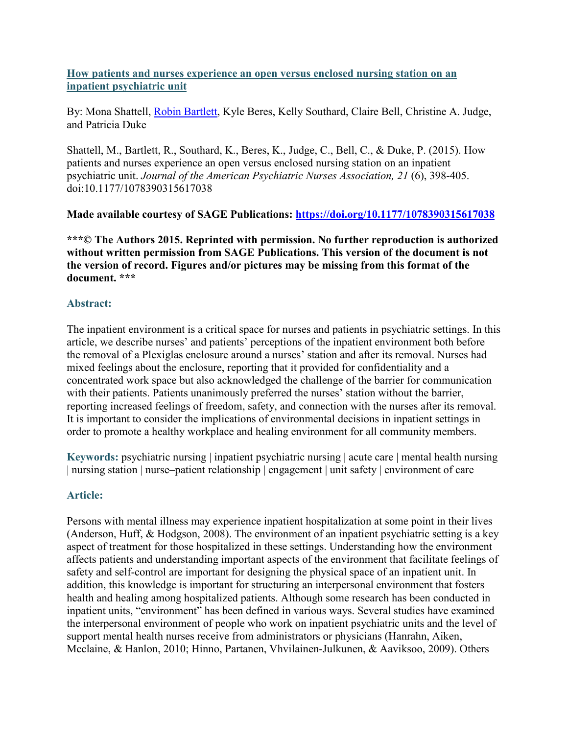# **How patients and nurses experience an open versus enclosed nursing station on an inpatient psychiatric unit**

By: Mona Shattell, [Robin Bartlett,](https://libres.uncg.edu/ir/uncg/clist.aspx?id=1649) Kyle Beres, Kelly Southard, Claire Bell, Christine A. Judge, and Patricia Duke

Shattell, M., Bartlett, R., Southard, K., Beres, K., Judge, C., Bell, C., & Duke, P. (2015). How patients and nurses experience an open versus enclosed nursing station on an inpatient psychiatric unit. *Journal of the American Psychiatric Nurses Association, 21* (6), 398-405. doi:10.1177/1078390315617038

**Made available courtesy of SAGE Publications: [https://doi.org/10.1177/1078390315617038](https://doi.org/10.1177%2F1078390315617038)**

**\*\*\*© The Authors 2015. Reprinted with permission. No further reproduction is authorized without written permission from SAGE Publications. This version of the document is not the version of record. Figures and/or pictures may be missing from this format of the document. \*\*\***

# **Abstract:**

The inpatient environment is a critical space for nurses and patients in psychiatric settings. In this article, we describe nurses' and patients' perceptions of the inpatient environment both before the removal of a Plexiglas enclosure around a nurses' station and after its removal. Nurses had mixed feelings about the enclosure, reporting that it provided for confidentiality and a concentrated work space but also acknowledged the challenge of the barrier for communication with their patients. Patients unanimously preferred the nurses' station without the barrier, reporting increased feelings of freedom, safety, and connection with the nurses after its removal. It is important to consider the implications of environmental decisions in inpatient settings in order to promote a healthy workplace and healing environment for all community members.

**Keywords:** psychiatric nursing | inpatient psychiatric nursing | acute care | mental health nursing | nursing station | nurse–patient relationship | engagement | unit safety | environment of care

# **Article:**

Persons with mental illness may experience inpatient hospitalization at some point in their lives (Anderson, Huff, & Hodgson, 2008). The environment of an inpatient psychiatric setting is a key aspect of treatment for those hospitalized in these settings. Understanding how the environment affects patients and understanding important aspects of the environment that facilitate feelings of safety and self-control are important for designing the physical space of an inpatient unit. In addition, this knowledge is important for structuring an interpersonal environment that fosters health and healing among hospitalized patients. Although some research has been conducted in inpatient units, "environment" has been defined in various ways. Several studies have examined the interpersonal environment of people who work on inpatient psychiatric units and the level of support mental health nurses receive from administrators or physicians (Hanrahn, Aiken, Mcclaine, & Hanlon, 2010; Hinno, Partanen, Vhvilainen-Julkunen, & Aaviksoo, 2009). Others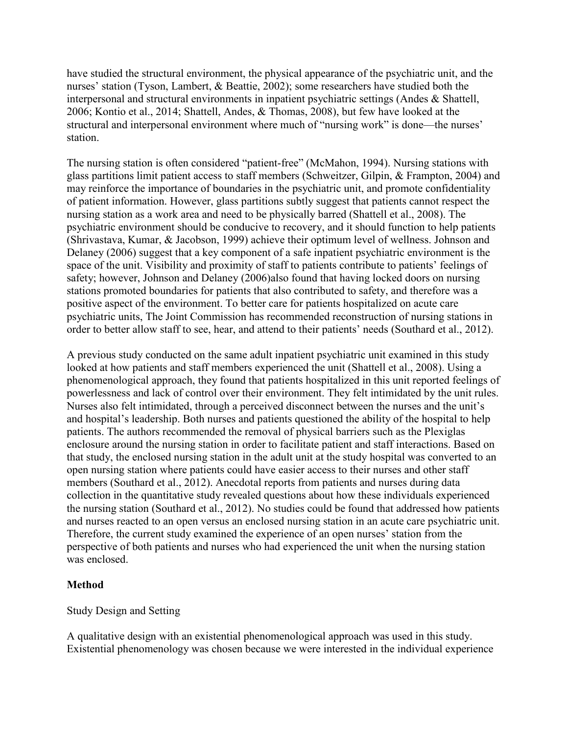have studied the structural environment, the physical appearance of the psychiatric unit, and the nurses' station (Tyson, Lambert, & Beattie, 2002); some researchers have studied both the interpersonal and structural environments in inpatient psychiatric settings (Andes & Shattell, 2006; Kontio et al., 2014; Shattell, Andes, & Thomas, 2008), but few have looked at the structural and interpersonal environment where much of "nursing work" is done—the nurses' station.

The nursing station is often considered "patient-free" (McMahon, 1994). Nursing stations with glass partitions limit patient access to staff members (Schweitzer, Gilpin, & Frampton, 2004) and may reinforce the importance of boundaries in the psychiatric unit, and promote confidentiality of patient information. However, glass partitions subtly suggest that patients cannot respect the nursing station as a work area and need to be physically barred (Shattell et al., 2008). The psychiatric environment should be conducive to recovery, and it should function to help patients (Shrivastava, Kumar, & Jacobson, 1999) achieve their optimum level of wellness. Johnson and Delaney (2006) suggest that a key component of a safe inpatient psychiatric environment is the space of the unit. Visibility and proximity of staff to patients contribute to patients' feelings of safety; however, Johnson and Delaney (2006)also found that having locked doors on nursing stations promoted boundaries for patients that also contributed to safety, and therefore was a positive aspect of the environment. To better care for patients hospitalized on acute care psychiatric units, The Joint Commission has recommended reconstruction of nursing stations in order to better allow staff to see, hear, and attend to their patients' needs (Southard et al., 2012).

A previous study conducted on the same adult inpatient psychiatric unit examined in this study looked at how patients and staff members experienced the unit (Shattell et al., 2008). Using a phenomenological approach, they found that patients hospitalized in this unit reported feelings of powerlessness and lack of control over their environment. They felt intimidated by the unit rules. Nurses also felt intimidated, through a perceived disconnect between the nurses and the unit's and hospital's leadership. Both nurses and patients questioned the ability of the hospital to help patients. The authors recommended the removal of physical barriers such as the Plexiglas enclosure around the nursing station in order to facilitate patient and staff interactions. Based on that study, the enclosed nursing station in the adult unit at the study hospital was converted to an open nursing station where patients could have easier access to their nurses and other staff members (Southard et al., 2012). Anecdotal reports from patients and nurses during data collection in the quantitative study revealed questions about how these individuals experienced the nursing station (Southard et al., 2012). No studies could be found that addressed how patients and nurses reacted to an open versus an enclosed nursing station in an acute care psychiatric unit. Therefore, the current study examined the experience of an open nurses' station from the perspective of both patients and nurses who had experienced the unit when the nursing station was enclosed.

# **Method**

#### Study Design and Setting

A qualitative design with an existential phenomenological approach was used in this study. Existential phenomenology was chosen because we were interested in the individual experience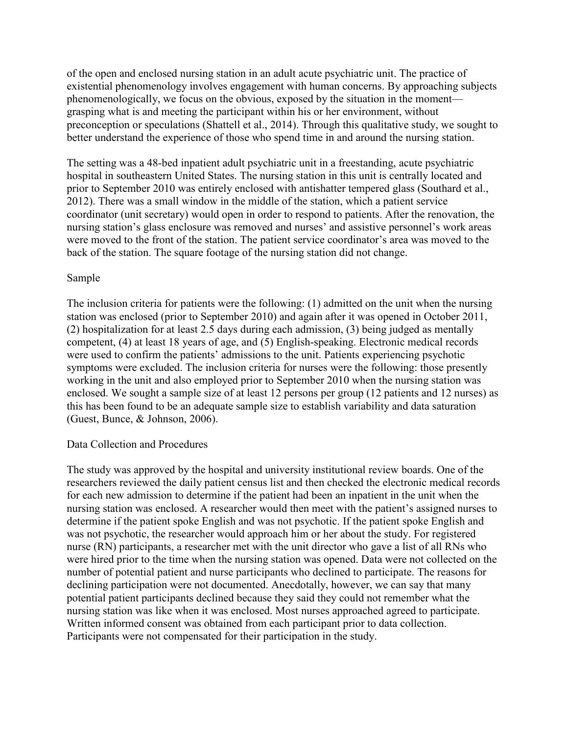of the open and enclosed nursing station in an adult acute psychiatric unit. The practice of existential phenomenology involves engagement with human concerns. By approaching subjects phenomenologically, we focus on the obvious, exposed by the situation in the moment grasping what is and meeting the participant within his or her environment, without preconception or speculations (Shattell et al., 2014). Through this qualitative study, we sought to better understand the experience of those who spend time in and around the nursing station.

The setting was a 48-bed inpatient adult psychiatric unit in a freestanding, acute psychiatric hospital in southeastern United States. The nursing station in this unit is centrally located and prior to September 2010 was entirely enclosed with antishatter tempered glass (Southard et al., 2012). There was a small window in the middle of the station, which a patient service coordinator (unit secretary) would open in order to respond to patients. After the renovation, the nursing station's glass enclosure was removed and nurses' and assistive personnel's work areas were moved to the front of the station. The patient service coordinator's area was moved to the back of the station. The square footage of the nursing station did not change.

#### Sample

The inclusion criteria for patients were the following: (1) admitted on the unit when the nursing station was enclosed (prior to September 2010) and again after it was opened in October 2011, (2) hospitalization for at least 2.5 days during each admission, (3) being judged as mentally competent, (4) at least 18 years of age, and (5) English-speaking. Electronic medical records were used to confirm the patients' admissions to the unit. Patients experiencing psychotic symptoms were excluded. The inclusion criteria for nurses were the following: those presently working in the unit and also employed prior to September 2010 when the nursing station was enclosed. We sought a sample size of at least 12 persons per group (12 patients and 12 nurses) as this has been found to be an adequate sample size to establish variability and data saturation (Guest, Bunce, & Johnson, 2006).

#### Data Collection and Procedures

The study was approved by the hospital and university institutional review boards. One of the researchers reviewed the daily patient census list and then checked the electronic medical records for each new admission to determine if the patient had been an inpatient in the unit when the nursing station was enclosed. A researcher would then meet with the patient's assigned nurses to determine if the patient spoke English and was not psychotic. If the patient spoke English and was not psychotic, the researcher would approach him or her about the study. For registered nurse (RN) participants, a researcher met with the unit director who gave a list of all RNs who were hired prior to the time when the nursing station was opened. Data were not collected on the number of potential patient and nurse participants who declined to participate. The reasons for declining participation were not documented. Anecdotally, however, we can say that many potential patient participants declined because they said they could not remember what the nursing station was like when it was enclosed. Most nurses approached agreed to participate. Written informed consent was obtained from each participant prior to data collection. Participants were not compensated for their participation in the study.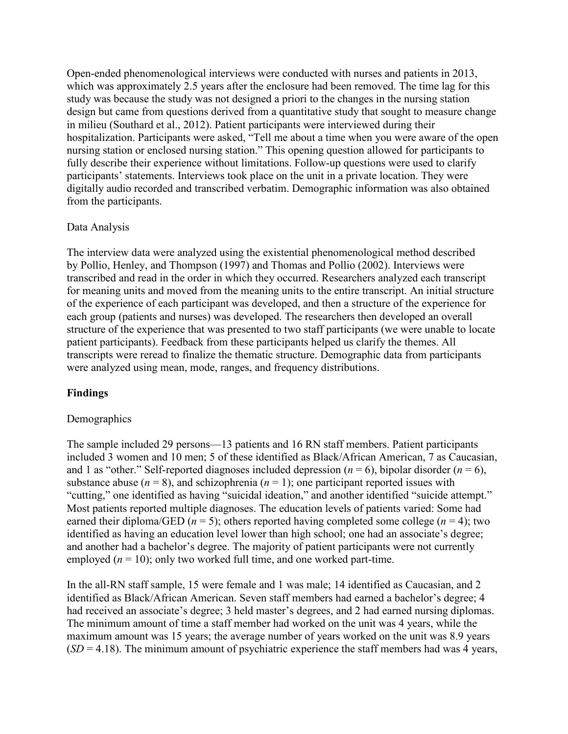Open-ended phenomenological interviews were conducted with nurses and patients in 2013, which was approximately 2.5 years after the enclosure had been removed. The time lag for this study was because the study was not designed a priori to the changes in the nursing station design but came from questions derived from a quantitative study that sought to measure change in milieu (Southard et al., 2012). Patient participants were interviewed during their hospitalization. Participants were asked, "Tell me about a time when you were aware of the open nursing station or enclosed nursing station." This opening question allowed for participants to fully describe their experience without limitations. Follow-up questions were used to clarify participants' statements. Interviews took place on the unit in a private location. They were digitally audio recorded and transcribed verbatim. Demographic information was also obtained from the participants.

### Data Analysis

The interview data were analyzed using the existential phenomenological method described by Pollio, Henley, and Thompson (1997) and Thomas and Pollio (2002). Interviews were transcribed and read in the order in which they occurred. Researchers analyzed each transcript for meaning units and moved from the meaning units to the entire transcript. An initial structure of the experience of each participant was developed, and then a structure of the experience for each group (patients and nurses) was developed. The researchers then developed an overall structure of the experience that was presented to two staff participants (we were unable to locate patient participants). Feedback from these participants helped us clarify the themes. All transcripts were reread to finalize the thematic structure. Demographic data from participants were analyzed using mean, mode, ranges, and frequency distributions.

# **Findings**

# **Demographics**

The sample included 29 persons—13 patients and 16 RN staff members. Patient participants included 3 women and 10 men; 5 of these identified as Black/African American, 7 as Caucasian, and 1 as "other." Self-reported diagnoses included depression ( $n = 6$ ), bipolar disorder ( $n = 6$ ), substance abuse  $(n = 8)$ , and schizophrenia  $(n = 1)$ ; one participant reported issues with "cutting," one identified as having "suicidal ideation," and another identified "suicide attempt." Most patients reported multiple diagnoses. The education levels of patients varied: Some had earned their diploma/GED ( $n = 5$ ); others reported having completed some college ( $n = 4$ ); two identified as having an education level lower than high school; one had an associate's degree; and another had a bachelor's degree. The majority of patient participants were not currently employed  $(n = 10)$ ; only two worked full time, and one worked part-time.

In the all-RN staff sample, 15 were female and 1 was male; 14 identified as Caucasian, and 2 identified as Black/African American. Seven staff members had earned a bachelor's degree; 4 had received an associate's degree; 3 held master's degrees, and 2 had earned nursing diplomas. The minimum amount of time a staff member had worked on the unit was 4 years, while the maximum amount was 15 years; the average number of years worked on the unit was 8.9 years  $(SD = 4.18)$ . The minimum amount of psychiatric experience the staff members had was 4 years,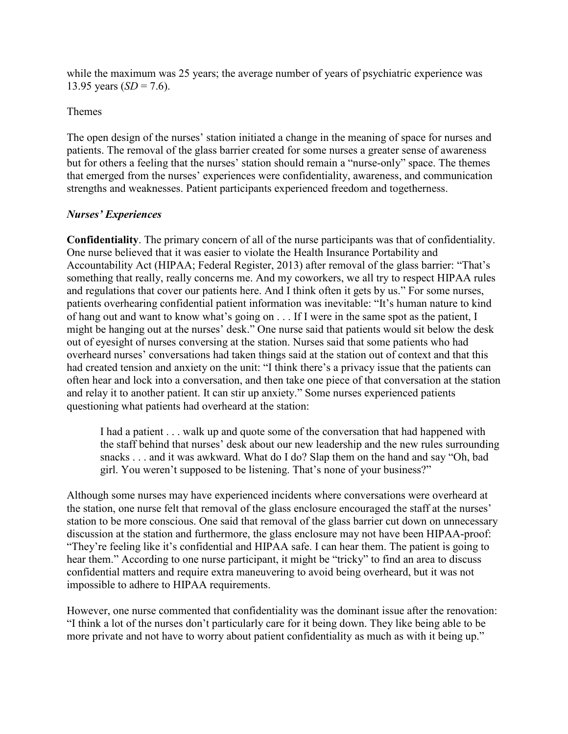while the maximum was 25 years; the average number of years of psychiatric experience was 13.95 years  $(SD = 7.6)$ .

### Themes

The open design of the nurses' station initiated a change in the meaning of space for nurses and patients. The removal of the glass barrier created for some nurses a greater sense of awareness but for others a feeling that the nurses' station should remain a "nurse-only" space. The themes that emerged from the nurses' experiences were confidentiality, awareness, and communication strengths and weaknesses. Patient participants experienced freedom and togetherness.

# *Nurses' Experiences*

**Confidentiality**. The primary concern of all of the nurse participants was that of confidentiality. One nurse believed that it was easier to violate the Health Insurance Portability and Accountability Act (HIPAA; Federal Register, 2013) after removal of the glass barrier: "That's something that really, really concerns me. And my coworkers, we all try to respect HIPAA rules and regulations that cover our patients here. And I think often it gets by us." For some nurses, patients overhearing confidential patient information was inevitable: "It's human nature to kind of hang out and want to know what's going on . . . If I were in the same spot as the patient, I might be hanging out at the nurses' desk." One nurse said that patients would sit below the desk out of eyesight of nurses conversing at the station. Nurses said that some patients who had overheard nurses' conversations had taken things said at the station out of context and that this had created tension and anxiety on the unit: "I think there's a privacy issue that the patients can often hear and lock into a conversation, and then take one piece of that conversation at the station and relay it to another patient. It can stir up anxiety." Some nurses experienced patients questioning what patients had overheard at the station:

I had a patient . . . walk up and quote some of the conversation that had happened with the staff behind that nurses' desk about our new leadership and the new rules surrounding snacks . . . and it was awkward. What do I do? Slap them on the hand and say "Oh, bad girl. You weren't supposed to be listening. That's none of your business?"

Although some nurses may have experienced incidents where conversations were overheard at the station, one nurse felt that removal of the glass enclosure encouraged the staff at the nurses' station to be more conscious. One said that removal of the glass barrier cut down on unnecessary discussion at the station and furthermore, the glass enclosure may not have been HIPAA-proof: "They're feeling like it's confidential and HIPAA safe. I can hear them. The patient is going to hear them." According to one nurse participant, it might be "tricky" to find an area to discuss confidential matters and require extra maneuvering to avoid being overheard, but it was not impossible to adhere to HIPAA requirements.

However, one nurse commented that confidentiality was the dominant issue after the renovation: "I think a lot of the nurses don't particularly care for it being down. They like being able to be more private and not have to worry about patient confidentiality as much as with it being up."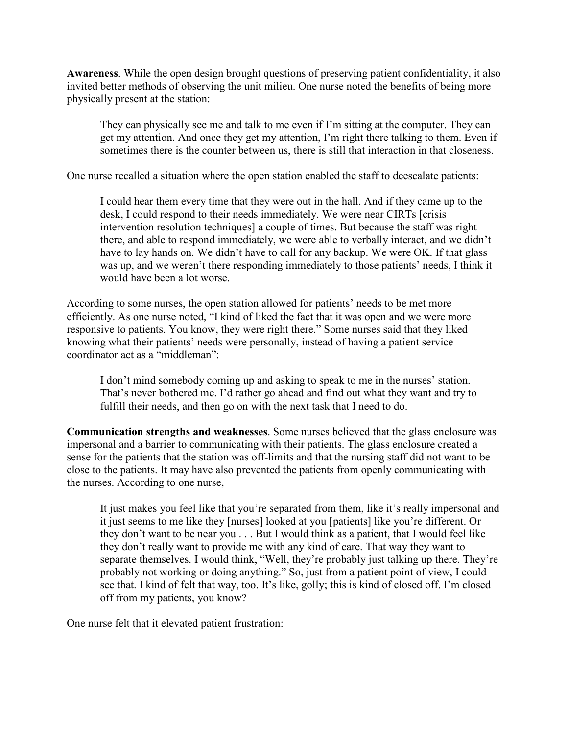**Awareness**. While the open design brought questions of preserving patient confidentiality, it also invited better methods of observing the unit milieu. One nurse noted the benefits of being more physically present at the station:

They can physically see me and talk to me even if I'm sitting at the computer. They can get my attention. And once they get my attention, I'm right there talking to them. Even if sometimes there is the counter between us, there is still that interaction in that closeness.

One nurse recalled a situation where the open station enabled the staff to deescalate patients:

I could hear them every time that they were out in the hall. And if they came up to the desk, I could respond to their needs immediately. We were near CIRTs [crisis intervention resolution techniques] a couple of times. But because the staff was right there, and able to respond immediately, we were able to verbally interact, and we didn't have to lay hands on. We didn't have to call for any backup. We were OK. If that glass was up, and we weren't there responding immediately to those patients' needs, I think it would have been a lot worse.

According to some nurses, the open station allowed for patients' needs to be met more efficiently. As one nurse noted, "I kind of liked the fact that it was open and we were more responsive to patients. You know, they were right there." Some nurses said that they liked knowing what their patients' needs were personally, instead of having a patient service coordinator act as a "middleman":

I don't mind somebody coming up and asking to speak to me in the nurses' station. That's never bothered me. I'd rather go ahead and find out what they want and try to fulfill their needs, and then go on with the next task that I need to do.

**Communication strengths and weaknesses**. Some nurses believed that the glass enclosure was impersonal and a barrier to communicating with their patients. The glass enclosure created a sense for the patients that the station was off-limits and that the nursing staff did not want to be close to the patients. It may have also prevented the patients from openly communicating with the nurses. According to one nurse,

It just makes you feel like that you're separated from them, like it's really impersonal and it just seems to me like they [nurses] looked at you [patients] like you're different. Or they don't want to be near you . . . But I would think as a patient, that I would feel like they don't really want to provide me with any kind of care. That way they want to separate themselves. I would think, "Well, they're probably just talking up there. They're probably not working or doing anything." So, just from a patient point of view, I could see that. I kind of felt that way, too. It's like, golly; this is kind of closed off. I'm closed off from my patients, you know?

One nurse felt that it elevated patient frustration: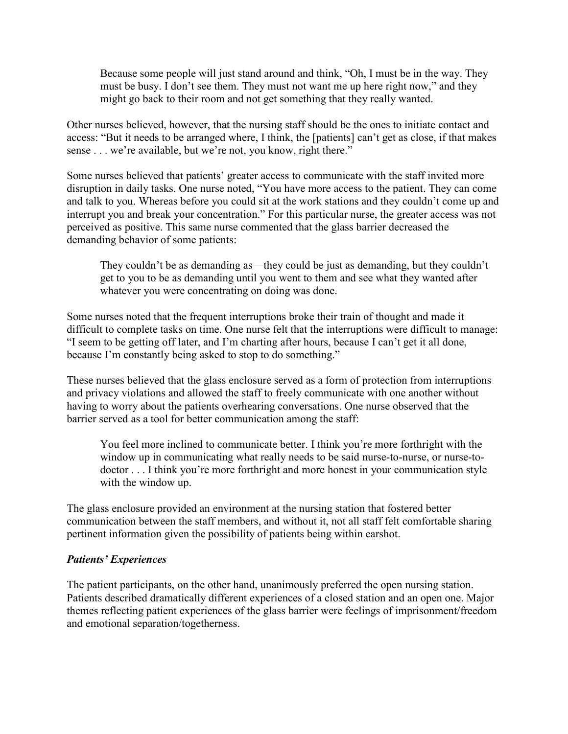Because some people will just stand around and think, "Oh, I must be in the way. They must be busy. I don't see them. They must not want me up here right now," and they might go back to their room and not get something that they really wanted.

Other nurses believed, however, that the nursing staff should be the ones to initiate contact and access: "But it needs to be arranged where, I think, the [patients] can't get as close, if that makes sense . . . we're available, but we're not, you know, right there."

Some nurses believed that patients' greater access to communicate with the staff invited more disruption in daily tasks. One nurse noted, "You have more access to the patient. They can come and talk to you. Whereas before you could sit at the work stations and they couldn't come up and interrupt you and break your concentration." For this particular nurse, the greater access was not perceived as positive. This same nurse commented that the glass barrier decreased the demanding behavior of some patients:

They couldn't be as demanding as—they could be just as demanding, but they couldn't get to you to be as demanding until you went to them and see what they wanted after whatever you were concentrating on doing was done.

Some nurses noted that the frequent interruptions broke their train of thought and made it difficult to complete tasks on time. One nurse felt that the interruptions were difficult to manage: "I seem to be getting off later, and I'm charting after hours, because I can't get it all done, because I'm constantly being asked to stop to do something."

These nurses believed that the glass enclosure served as a form of protection from interruptions and privacy violations and allowed the staff to freely communicate with one another without having to worry about the patients overhearing conversations. One nurse observed that the barrier served as a tool for better communication among the staff:

You feel more inclined to communicate better. I think you're more forthright with the window up in communicating what really needs to be said nurse-to-nurse, or nurse-todoctor . . . I think you're more forthright and more honest in your communication style with the window up.

The glass enclosure provided an environment at the nursing station that fostered better communication between the staff members, and without it, not all staff felt comfortable sharing pertinent information given the possibility of patients being within earshot.

# *Patients' Experiences*

The patient participants, on the other hand, unanimously preferred the open nursing station. Patients described dramatically different experiences of a closed station and an open one. Major themes reflecting patient experiences of the glass barrier were feelings of imprisonment/freedom and emotional separation/togetherness.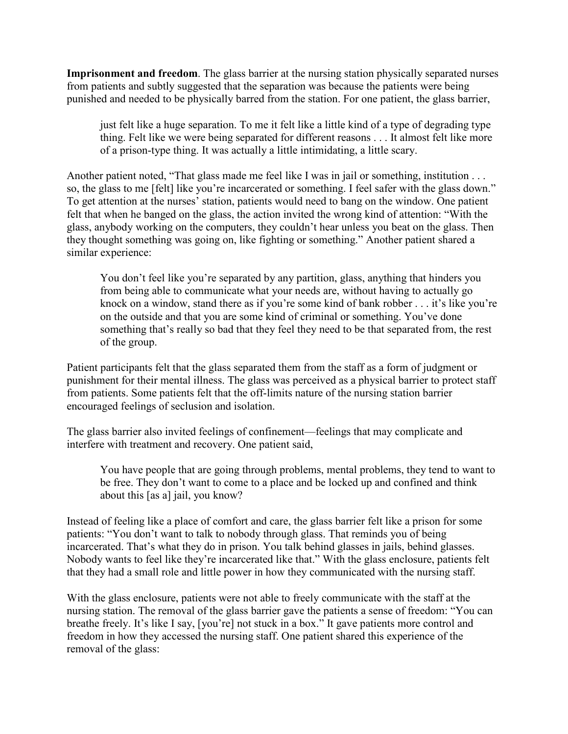**Imprisonment and freedom**. The glass barrier at the nursing station physically separated nurses from patients and subtly suggested that the separation was because the patients were being punished and needed to be physically barred from the station. For one patient, the glass barrier,

just felt like a huge separation. To me it felt like a little kind of a type of degrading type thing. Felt like we were being separated for different reasons . . . It almost felt like more of a prison-type thing. It was actually a little intimidating, a little scary.

Another patient noted, "That glass made me feel like I was in jail or something, institution . . . so, the glass to me [felt] like you're incarcerated or something. I feel safer with the glass down." To get attention at the nurses' station, patients would need to bang on the window. One patient felt that when he banged on the glass, the action invited the wrong kind of attention: "With the glass, anybody working on the computers, they couldn't hear unless you beat on the glass. Then they thought something was going on, like fighting or something." Another patient shared a similar experience:

You don't feel like you're separated by any partition, glass, anything that hinders you from being able to communicate what your needs are, without having to actually go knock on a window, stand there as if you're some kind of bank robber . . . it's like you're on the outside and that you are some kind of criminal or something. You've done something that's really so bad that they feel they need to be that separated from, the rest of the group.

Patient participants felt that the glass separated them from the staff as a form of judgment or punishment for their mental illness. The glass was perceived as a physical barrier to protect staff from patients. Some patients felt that the off-limits nature of the nursing station barrier encouraged feelings of seclusion and isolation.

The glass barrier also invited feelings of confinement—feelings that may complicate and interfere with treatment and recovery. One patient said,

You have people that are going through problems, mental problems, they tend to want to be free. They don't want to come to a place and be locked up and confined and think about this [as a] jail, you know?

Instead of feeling like a place of comfort and care, the glass barrier felt like a prison for some patients: "You don't want to talk to nobody through glass. That reminds you of being incarcerated. That's what they do in prison. You talk behind glasses in jails, behind glasses. Nobody wants to feel like they're incarcerated like that." With the glass enclosure, patients felt that they had a small role and little power in how they communicated with the nursing staff.

With the glass enclosure, patients were not able to freely communicate with the staff at the nursing station. The removal of the glass barrier gave the patients a sense of freedom: "You can breathe freely. It's like I say, [you're] not stuck in a box." It gave patients more control and freedom in how they accessed the nursing staff. One patient shared this experience of the removal of the glass: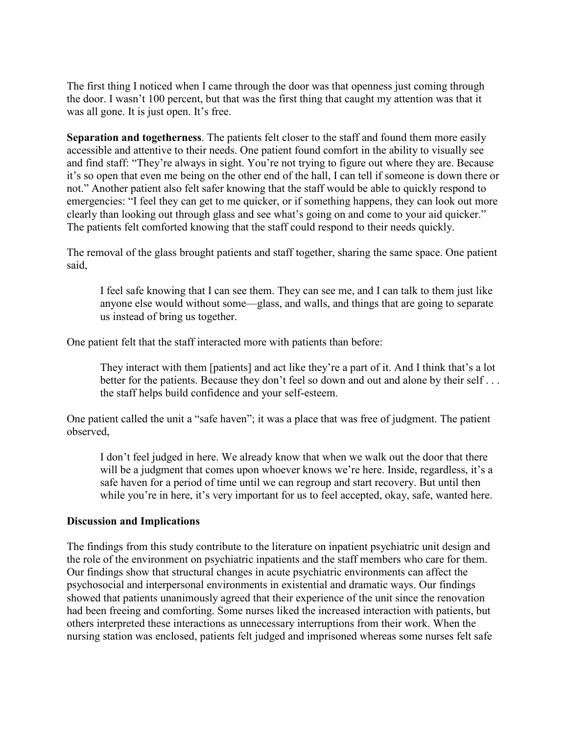The first thing I noticed when I came through the door was that openness just coming through the door. I wasn't 100 percent, but that was the first thing that caught my attention was that it was all gone. It is just open. It's free.

**Separation and togetherness**. The patients felt closer to the staff and found them more easily accessible and attentive to their needs. One patient found comfort in the ability to visually see and find staff: "They're always in sight. You're not trying to figure out where they are. Because it's so open that even me being on the other end of the hall, I can tell if someone is down there or not." Another patient also felt safer knowing that the staff would be able to quickly respond to emergencies: "I feel they can get to me quicker, or if something happens, they can look out more clearly than looking out through glass and see what's going on and come to your aid quicker." The patients felt comforted knowing that the staff could respond to their needs quickly.

The removal of the glass brought patients and staff together, sharing the same space. One patient said,

I feel safe knowing that I can see them. They can see me, and I can talk to them just like anyone else would without some—glass, and walls, and things that are going to separate us instead of bring us together.

One patient felt that the staff interacted more with patients than before:

They interact with them [patients] and act like they're a part of it. And I think that's a lot better for the patients. Because they don't feel so down and out and alone by their self... the staff helps build confidence and your self-esteem.

One patient called the unit a "safe haven"; it was a place that was free of judgment. The patient observed,

I don't feel judged in here. We already know that when we walk out the door that there will be a judgment that comes upon whoever knows we're here. Inside, regardless, it's a safe haven for a period of time until we can regroup and start recovery. But until then while you're in here, it's very important for us to feel accepted, okay, safe, wanted here.

#### **Discussion and Implications**

The findings from this study contribute to the literature on inpatient psychiatric unit design and the role of the environment on psychiatric inpatients and the staff members who care for them. Our findings show that structural changes in acute psychiatric environments can affect the psychosocial and interpersonal environments in existential and dramatic ways. Our findings showed that patients unanimously agreed that their experience of the unit since the renovation had been freeing and comforting. Some nurses liked the increased interaction with patients, but others interpreted these interactions as unnecessary interruptions from their work. When the nursing station was enclosed, patients felt judged and imprisoned whereas some nurses felt safe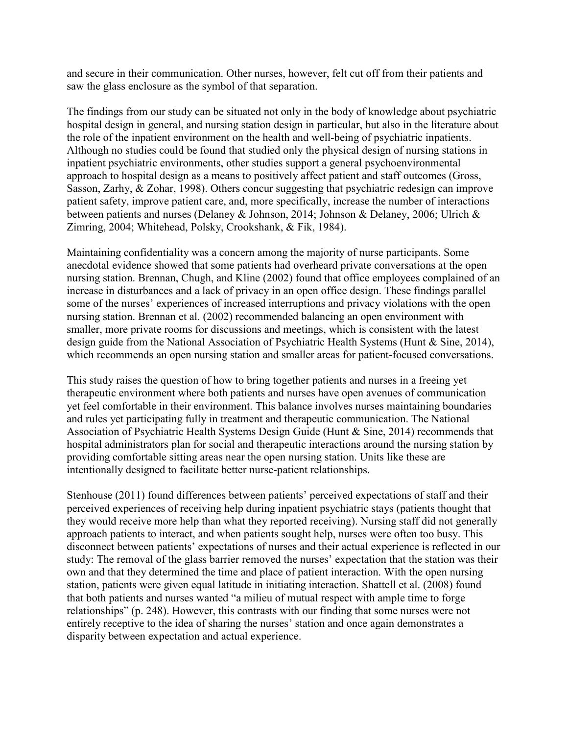and secure in their communication. Other nurses, however, felt cut off from their patients and saw the glass enclosure as the symbol of that separation.

The findings from our study can be situated not only in the body of knowledge about psychiatric hospital design in general, and nursing station design in particular, but also in the literature about the role of the inpatient environment on the health and well-being of psychiatric inpatients. Although no studies could be found that studied only the physical design of nursing stations in inpatient psychiatric environments, other studies support a general psychoenvironmental approach to hospital design as a means to positively affect patient and staff outcomes (Gross, Sasson, Zarhy, & Zohar, 1998). Others concur suggesting that psychiatric redesign can improve patient safety, improve patient care, and, more specifically, increase the number of interactions between patients and nurses (Delaney & Johnson, 2014; Johnson & Delaney, 2006; Ulrich & Zimring, 2004; Whitehead, Polsky, Crookshank, & Fik, 1984).

Maintaining confidentiality was a concern among the majority of nurse participants. Some anecdotal evidence showed that some patients had overheard private conversations at the open nursing station. Brennan, Chugh, and Kline (2002) found that office employees complained of an increase in disturbances and a lack of privacy in an open office design. These findings parallel some of the nurses' experiences of increased interruptions and privacy violations with the open nursing station. Brennan et al. (2002) recommended balancing an open environment with smaller, more private rooms for discussions and meetings, which is consistent with the latest design guide from the National Association of Psychiatric Health Systems (Hunt & Sine, 2014), which recommends an open nursing station and smaller areas for patient-focused conversations.

This study raises the question of how to bring together patients and nurses in a freeing yet therapeutic environment where both patients and nurses have open avenues of communication yet feel comfortable in their environment. This balance involves nurses maintaining boundaries and rules yet participating fully in treatment and therapeutic communication. The National Association of Psychiatric Health Systems Design Guide (Hunt & Sine, 2014) recommends that hospital administrators plan for social and therapeutic interactions around the nursing station by providing comfortable sitting areas near the open nursing station. Units like these are intentionally designed to facilitate better nurse-patient relationships.

Stenhouse (2011) found differences between patients' perceived expectations of staff and their perceived experiences of receiving help during inpatient psychiatric stays (patients thought that they would receive more help than what they reported receiving). Nursing staff did not generally approach patients to interact, and when patients sought help, nurses were often too busy. This disconnect between patients' expectations of nurses and their actual experience is reflected in our study: The removal of the glass barrier removed the nurses' expectation that the station was their own and that they determined the time and place of patient interaction. With the open nursing station, patients were given equal latitude in initiating interaction. Shattell et al. (2008) found that both patients and nurses wanted "a milieu of mutual respect with ample time to forge relationships" (p. 248). However, this contrasts with our finding that some nurses were not entirely receptive to the idea of sharing the nurses' station and once again demonstrates a disparity between expectation and actual experience.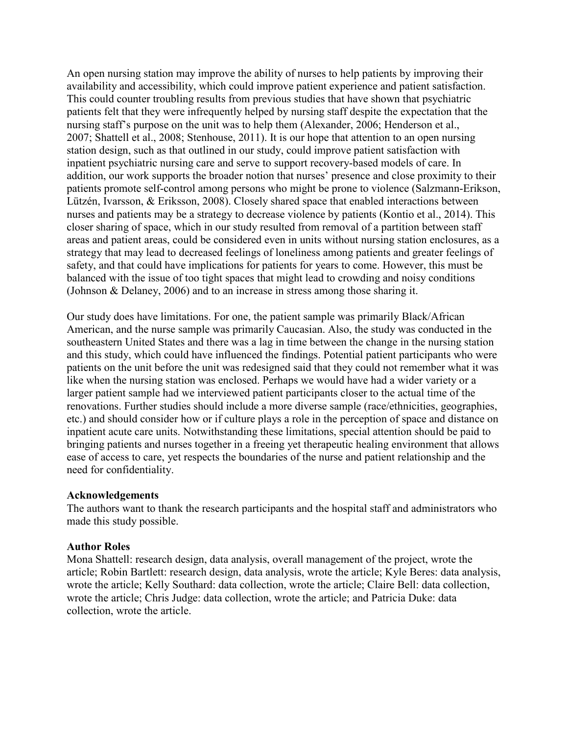An open nursing station may improve the ability of nurses to help patients by improving their availability and accessibility, which could improve patient experience and patient satisfaction. This could counter troubling results from previous studies that have shown that psychiatric patients felt that they were infrequently helped by nursing staff despite the expectation that the nursing staff's purpose on the unit was to help them (Alexander, 2006; Henderson et al., 2007; Shattell et al., 2008; Stenhouse, 2011). It is our hope that attention to an open nursing station design, such as that outlined in our study, could improve patient satisfaction with inpatient psychiatric nursing care and serve to support recovery-based models of care. In addition, our work supports the broader notion that nurses' presence and close proximity to their patients promote self-control among persons who might be prone to violence (Salzmann-Erikson, Lützén, Ivarsson, & Eriksson, 2008). Closely shared space that enabled interactions between nurses and patients may be a strategy to decrease violence by patients (Kontio et al., 2014). This closer sharing of space, which in our study resulted from removal of a partition between staff areas and patient areas, could be considered even in units without nursing station enclosures, as a strategy that may lead to decreased feelings of loneliness among patients and greater feelings of safety, and that could have implications for patients for years to come. However, this must be balanced with the issue of too tight spaces that might lead to crowding and noisy conditions (Johnson & Delaney, 2006) and to an increase in stress among those sharing it.

Our study does have limitations. For one, the patient sample was primarily Black/African American, and the nurse sample was primarily Caucasian. Also, the study was conducted in the southeastern United States and there was a lag in time between the change in the nursing station and this study, which could have influenced the findings. Potential patient participants who were patients on the unit before the unit was redesigned said that they could not remember what it was like when the nursing station was enclosed. Perhaps we would have had a wider variety or a larger patient sample had we interviewed patient participants closer to the actual time of the renovations. Further studies should include a more diverse sample (race/ethnicities, geographies, etc.) and should consider how or if culture plays a role in the perception of space and distance on inpatient acute care units. Notwithstanding these limitations, special attention should be paid to bringing patients and nurses together in a freeing yet therapeutic healing environment that allows ease of access to care, yet respects the boundaries of the nurse and patient relationship and the need for confidentiality.

#### **Acknowledgements**

The authors want to thank the research participants and the hospital staff and administrators who made this study possible.

#### **Author Roles**

Mona Shattell: research design, data analysis, overall management of the project, wrote the article; Robin Bartlett: research design, data analysis, wrote the article; Kyle Beres: data analysis, wrote the article; Kelly Southard: data collection, wrote the article; Claire Bell: data collection, wrote the article; Chris Judge: data collection, wrote the article; and Patricia Duke: data collection, wrote the article.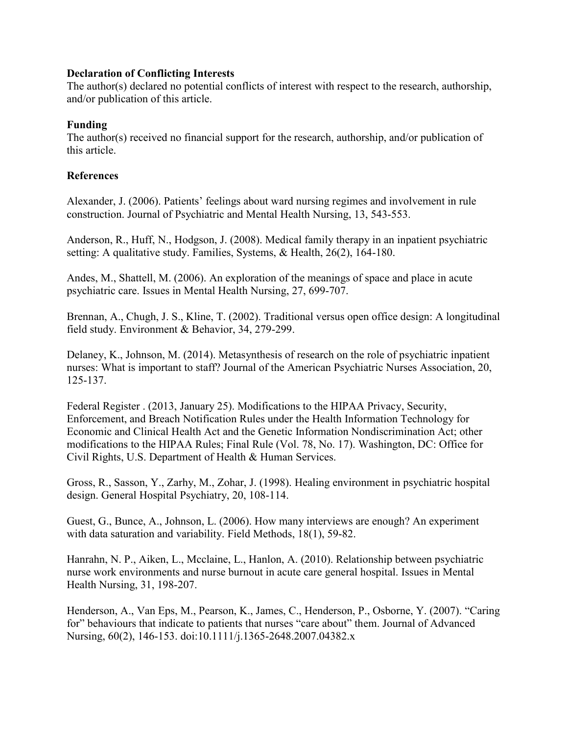### **Declaration of Conflicting Interests**

The author(s) declared no potential conflicts of interest with respect to the research, authorship, and/or publication of this article.

## **Funding**

The author(s) received no financial support for the research, authorship, and/or publication of this article.

### **References**

Alexander, J. (2006). Patients' feelings about ward nursing regimes and involvement in rule construction. Journal of Psychiatric and Mental Health Nursing, 13, 543-553.

Anderson, R., Huff, N., Hodgson, J. (2008). Medical family therapy in an inpatient psychiatric setting: A qualitative study. Families, Systems, & Health, 26(2), 164-180.

Andes, M., Shattell, M. (2006). An exploration of the meanings of space and place in acute psychiatric care. Issues in Mental Health Nursing, 27, 699-707.

Brennan, A., Chugh, J. S., Kline, T. (2002). Traditional versus open office design: A longitudinal field study. Environment & Behavior, 34, 279-299.

Delaney, K., Johnson, M. (2014). Metasynthesis of research on the role of psychiatric inpatient nurses: What is important to staff? Journal of the American Psychiatric Nurses Association, 20, 125-137.

Federal Register . (2013, January 25). Modifications to the HIPAA Privacy, Security, Enforcement, and Breach Notification Rules under the Health Information Technology for Economic and Clinical Health Act and the Genetic Information Nondiscrimination Act; other modifications to the HIPAA Rules; Final Rule (Vol. 78, No. 17). Washington, DC: Office for Civil Rights, U.S. Department of Health & Human Services.

Gross, R., Sasson, Y., Zarhy, M., Zohar, J. (1998). Healing environment in psychiatric hospital design. General Hospital Psychiatry, 20, 108-114.

Guest, G., Bunce, A., Johnson, L. (2006). How many interviews are enough? An experiment with data saturation and variability. Field Methods, 18(1), 59-82.

Hanrahn, N. P., Aiken, L., Mcclaine, L., Hanlon, A. (2010). Relationship between psychiatric nurse work environments and nurse burnout in acute care general hospital. Issues in Mental Health Nursing, 31, 198-207.

Henderson, A., Van Eps, M., Pearson, K., James, C., Henderson, P., Osborne, Y. (2007). "Caring for" behaviours that indicate to patients that nurses "care about" them. Journal of Advanced Nursing, 60(2), 146-153. doi:10.1111/j.1365-2648.2007.04382.x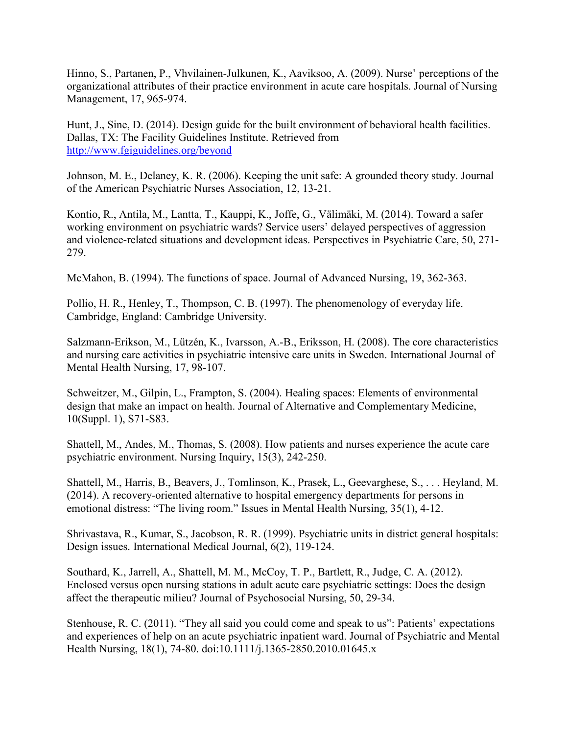Hinno, S., Partanen, P., Vhvilainen-Julkunen, K., Aaviksoo, A. (2009). Nurse' perceptions of the organizational attributes of their practice environment in acute care hospitals. Journal of Nursing Management, 17, 965-974.

Hunt, J., Sine, D. (2014). Design guide for the built environment of behavioral health facilities. Dallas, TX: The Facility Guidelines Institute. Retrieved from <http://www.fgiguidelines.org/beyond>

Johnson, M. E., Delaney, K. R. (2006). Keeping the unit safe: A grounded theory study. Journal of the American Psychiatric Nurses Association, 12, 13-21.

Kontio, R., Antila, M., Lantta, T., Kauppi, K., Joffe, G., Välimäki, M. (2014). Toward a safer working environment on psychiatric wards? Service users' delayed perspectives of aggression and violence-related situations and development ideas. Perspectives in Psychiatric Care, 50, 271- 279.

McMahon, B. (1994). The functions of space. Journal of Advanced Nursing, 19, 362-363.

Pollio, H. R., Henley, T., Thompson, C. B. (1997). The phenomenology of everyday life. Cambridge, England: Cambridge University.

Salzmann-Erikson, M., Lützén, K., Ivarsson, A.-B., Eriksson, H. (2008). The core characteristics and nursing care activities in psychiatric intensive care units in Sweden. International Journal of Mental Health Nursing, 17, 98-107.

Schweitzer, M., Gilpin, L., Frampton, S. (2004). Healing spaces: Elements of environmental design that make an impact on health. Journal of Alternative and Complementary Medicine, 10(Suppl. 1), S71-S83.

Shattell, M., Andes, M., Thomas, S. (2008). How patients and nurses experience the acute care psychiatric environment. Nursing Inquiry, 15(3), 242-250.

Shattell, M., Harris, B., Beavers, J., Tomlinson, K., Prasek, L., Geevarghese, S., . . . Heyland, M. (2014). A recovery-oriented alternative to hospital emergency departments for persons in emotional distress: "The living room." Issues in Mental Health Nursing, 35(1), 4-12.

Shrivastava, R., Kumar, S., Jacobson, R. R. (1999). Psychiatric units in district general hospitals: Design issues. International Medical Journal, 6(2), 119-124.

Southard, K., Jarrell, A., Shattell, M. M., McCoy, T. P., Bartlett, R., Judge, C. A. (2012). Enclosed versus open nursing stations in adult acute care psychiatric settings: Does the design affect the therapeutic milieu? Journal of Psychosocial Nursing, 50, 29-34.

Stenhouse, R. C. (2011). "They all said you could come and speak to us": Patients' expectations and experiences of help on an acute psychiatric inpatient ward. Journal of Psychiatric and Mental Health Nursing, 18(1), 74-80. doi:10.1111/j.1365-2850.2010.01645.x